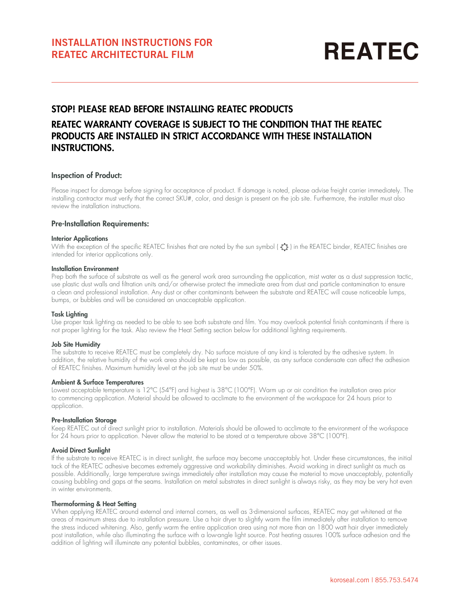# **REATEC**

# STOP! PLEASE READ BEFORE INSTALLING REATEC PRODUCTS

# REATEC WARRANTY COVERAGE IS SUBJECT TO THE CONDITION THAT THE REATEC PRODUCTS ARE INSTALLED IN STRICT ACCORDANCE WITH THESE INSTALLATION INSTRUCTIONS.

# Inspection of Product:

Please inspect for damage before signing for acceptance of product. If damage is noted, please advise freight carrier immediately. The installing contractor must verify that the correct SKU#, color, and design is present on the job site. Furthermore, the installer must also review the installation instructions.

# Pre-Installation Requirements:

## Interior Applications

With the exception of the specific REATEC finishes that are noted by the sun symbol ( $\hat{O}$ ) in the REATEC binder, REATEC finishes are intended for interior applications only.

### Installation Environment

Prep both the surface of substrate as well as the general work area surrounding the application, mist water as a dust suppression tactic, use plastic dust walls and filtration units and/or otherwise protect the immediate area from dust and particle contamination to ensure a clean and professional installation. Any dust or other contaminants between the substrate and REATEC will cause noticeable lumps, bumps, or bubbles and will be considered an unacceptable application.

### Task Lighting

Use proper task lighting as needed to be able to see both substrate and film. You may overlook potential finish contaminants if there is not proper lighting for the task. Also review the Heat Setting section below for additional lighting requirements.

# Job Site Humidity

The substrate to receive REATEC must be completely dry. No surface moisture of any kind is tolerated by the adhesive system. In addition, the relative humidity of the work area should be kept as low as possible, as any surface condensate can affect the adhesion of REATEC finishes. Maximum humidity level at the job site must be under 50%.

# Ambient & Surface Temperatures

Lowest acceptable temperature is 12°C (54°F) and highest is 38°C (100°F). Warm up or air condition the installation area prior to commencing application. Material should be allowed to acclimate to the environment of the workspace for 24 hours prior to application.

# Pre-Installation Storage

Keep REATEC out of direct sunlight prior to installation. Materials should be allowed to acclimate to the environment of the workspace for 24 hours prior to application. Never allow the material to be stored at a temperature above 38°C (100°F).

# Avoid Direct Sunlight

If the substrate to receive REATEC is in direct sunlight, the surface may become unacceptably hot. Under these circumstances, the initial tack of the REATEC adhesive becomes extremely aggressive and workability diminishes. Avoid working in direct sunlight as much as possible. Additionally, large temperature swings immediately after installation may cause the material to move unacceptably, potentially causing bubbling and gaps at the seams. Installation on metal substrates in direct sunlight is always risky, as they may be very hot even in winter environments.

### Thermoforming & Heat Setting

When applying REATEC around external and internal corners, as well as 3-dimensional surfaces, REATEC may get whitened at the areas of maximum stress due to installation pressure. Use a hair dryer to slightly warm the film immediately after installation to remove the stress induced whitening. Also, gently warm the entire application area using not more than an 1800 watt hair dryer immediately post installation, while also illuminating the surface with a low-angle light source. Post heating assures 100% surface adhesion and the addition of lighting will illuminate any potential bubbles, contaminates, or other issues.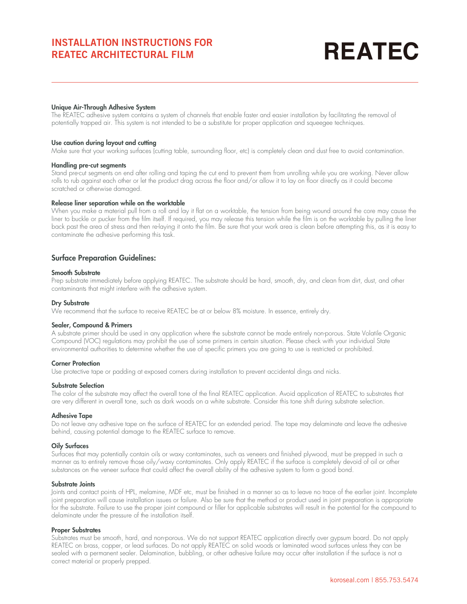# **REATEC**

# Unique Air-Through Adhesive System

The REATEC adhesive system contains a system of channels that enable faster and easier installation by facilitating the removal of potentially trapped air. This system is not intended to be a substitute for proper application and squeegee techniques.

## Use caution during layout and cutting

Make sure that your working surfaces (cutting table, surrounding floor, etc) is completely clean and dust free to avoid contamination.

### Handling pre-cut segments

Stand pre-cut segments on end after rolling and taping the cut end to prevent them from unrolling while you are working. Never allow rolls to rub against each other or let the product drag across the floor and/or allow it to lay on floor directly as it could become scratched or otherwise damaged.

### Release liner separation while on the worktable

When you make a material pull from a roll and lay it flat on a worktable, the tension from being wound around the core may cause the liner to buckle or pucker from the film itself. If required, you may release this tension while the film is on the worktable by pulling the liner back past the area of stress and then re-laying it onto the film. Be sure that your work area is clean before attempting this, as it is easy to contaminate the adhesive performing this task.

# Surface Preparation Guidelines:

# Smooth Substrate

Prep substrate immediately before applying REATEC. The substrate should be hard, smooth, dry, and clean from dirt, dust, and other contaminants that might interfere with the adhesive system.

## Dry Substrate

We recommend that the surface to receive REATEC be at or below 8% moisture. In essence, entirely dry.

# Sealer, Compound & Primers

A substrate primer should be used in any application where the substrate cannot be made entirely non-porous. State Volatile Organic Compound (VOC) regulations may prohibit the use of some primers in certain situation. Please check with your individual State environmental authorities to determine whether the use of specific primers you are going to use is restricted or prohibited.

### Corner Protection

Use protective tape or padding at exposed corners during installation to prevent accidental dings and nicks.

### Substrate Selection

The color of the substrate may affect the overall tone of the final REATEC application. Avoid application of REATEC to substrates that are very different in overall tone, such as dark woods on a white substrate. Consider this tone shift during substrate selection.

### Adhesive Tape

Do not leave any adhesive tape on the surface of REATEC for an extended period. The tape may delaminate and leave the adhesive behind, causing potential damage to the REATEC surface to remove.

# Oily Surfaces

Surfaces that may potentially contain oils or waxy contaminates, such as veneers and finished plywood, must be prepped in such a manner as to entirely remove those oily/waxy contaminates. Only apply REATEC if the surface is completely devoid of oil or other substances on the veneer surface that could affect the overall ability of the adhesive system to form a good bond.

### Substrate Joints

Joints and contact points of HPL, melamine, MDF etc, must be finished in a manner so as to leave no trace of the earlier joint. Incomplete joint preparation will cause installation issues or failure. Also be sure that the method or product used in joint preparation is appropriate for the substrate. Failure to use the proper joint compound or filler for applicable substrates will result in the potential for the compound to delaminate under the pressure of the installation itself.

# Proper Substrates

Substrates must be smooth, hard, and non-porous. We do not support REATEC application directly over gypsum board. Do not apply REATEC on brass, copper, or lead surfaces. Do not apply REATEC on solid woods or laminated wood surfaces unless they can be sealed with a permanent sealer. Delamination, bubbling, or other adhesive failure may occur after installation if the surface is not a correct material or properly prepped.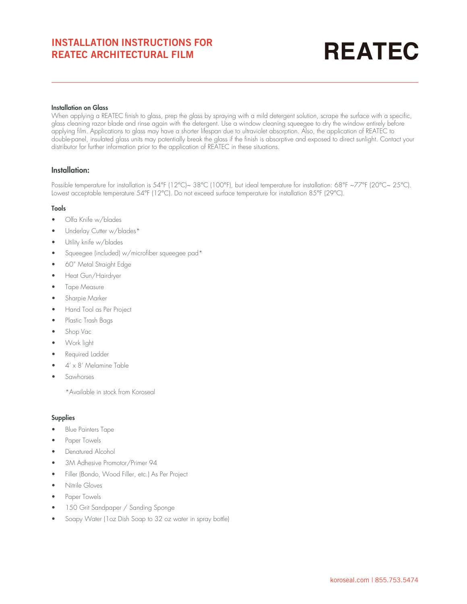# **REATEC**

# Installation on Glass

When applying a REATEC finish to glass, prep the glass by spraying with a mild detergent solution, scrape the surface with a specific, glass cleaning razor blade and rinse again with the detergent. Use a window cleaning squeegee to dry the window entirely before applying film. Applications to glass may have a shorter lifespan due to ultraviolet absorption. Also, the application of REATEC to double-panel, insulated glass units may potentially break the glass if the finish is absorptive and exposed to direct sunlight. Contact your distributor for further information prior to the application of REATEC in these situations.

# Installation:

Possible temperature for installation is 54°F (12°C)~ 38°C (100°F), but ideal temperature for installation: 68°F ~77°F (20°C~ 25°C). Lowest acceptable temperature 54°F (12°C). Do not exceed surface temperature for installation 85°F (29°C).

# Tools

- Olfa Knife w/blades
- Underlay Cutter w/blades\*
- Utility knife w/blades
- Squeegee (included) w/microfiber squeegee pad\*
- 60" Metal Straight Edge
- Heat Gun/Hairdryer
- Tape Measure
- Sharpie Marker
- Hand Tool as Per Project
- Plastic Trash Bags
- Shop Vac
- Work light
- Required Ladder
- $4' \times 8'$  Melamine Table
- **Sawhorses**

\*Available in stock from Koroseal

# Supplies

- Blue Painters Tape
- Paper Towels
- Denatured Alcohol
- 3M Adhesive Promotor/Primer 94
- Filler (Bondo, Wood Filler, etc.) As Per Project
- Nitrile Gloves
- Paper Towels
- 150 Grit Sandpaper / Sanding Sponge
- Soapy Water (1oz Dish Soap to 32 oz water in spray bottle)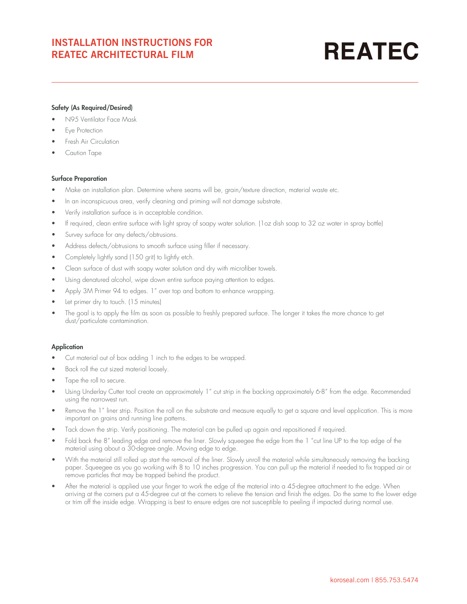# **REATEC**

# Safety (As Required/Desired)

- N95 Ventilator Face Mask
- **Eye Protection**
- Fresh Air Circulation
- Caution Tape

# Surface Preparation

- Make an installation plan. Determine where seams will be, grain/texture direction, material waste etc.
- In an inconspicuous area, verify cleaning and priming will not damage substrate.
- Verify installation surface is in acceptable condition.
- If required, clean entire surface with light spray of soapy water solution. (1oz dish soap to 32 oz water in spray bottle)
- Survey surface for any defects/obtrusions.
- Address defects/obtrusions to smooth surface using filler if necessary.
- Completely lightly sand (150 grit) to lightly etch.
- Clean surface of dust with soapy water solution and dry with microfiber towels.
- Using denatured alcohol, wipe down entire surface paying attention to edges.
- Apply 3M Primer 94 to edges. 1" over top and bottom to enhance wrapping.
- Let primer dry to touch. (15 minutes)
- The goal is to apply the film as soon as possible to freshly prepared surface. The longer it takes the more chance to get dust/particulate contamination.

# **Application**

- Cut material out of box adding 1 inch to the edges to be wrapped.
- Back roll the cut sized material loosely.
- Tape the roll to secure.
- Using Underlay Cutter tool create an approximately 1" cut strip in the backing approximately 6-8" from the edge. Recommended using the narrowest run.
- Remove the 1" liner strip. Position the roll on the substrate and measure equally to get a square and level application. This is more important on grains and running line patterns.
- Tack down the strip. Verify positioning. The material can be pulled up again and repositioned if required.
- Fold back the 8" leading edge and remove the liner. Slowly squeegee the edge from the 1 "cut line UP to the top edge of the material using about a 30-degree angle. Moving edge to edge.
- With the material still rolled up start the removal of the liner. Slowly unroll the material while simultaneously removing the backing paper. Squeegee as you go working with 8 to 10 inches progression. You can pull up the material if needed to fix trapped air or remove particles that may be trapped behind the product.
- After the material is applied use your finger to work the edge of the material into a 45-degree attachment to the edge. When arriving at the corners put a 45-degree cut at the corners to relieve the tension and finish the edges. Do the same to the lower edge or trim off the inside edge. Wrapping is best to ensure edges are not susceptible to peeling if impacted during normal use.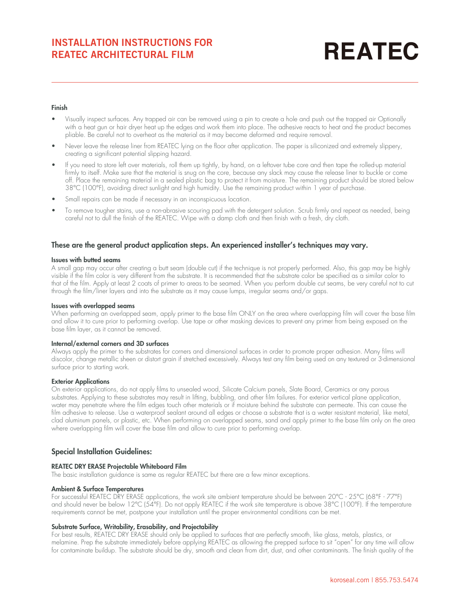# **REATEC**

# Finish

- Visually inspect surfaces. Any trapped air can be removed using a pin to create a hole and push out the trapped air Optionally with a heat gun or hair dryer heat up the edges and work them into place. The adhesive reacts to heat and the product becomes pliable. Be careful not to overheat as the material as it may become deformed and require removal.
- Never leave the release liner from REATEC lying on the floor after application. The paper is siliconized and extremely slippery, creating a significant potential slipping hazard.
- If you need to store left over materials, roll them up tightly, by hand, on a leftover tube core and then tape the rolled-up material firmly to itself. Make sure that the material is snug on the core, because any slack may cause the release liner to buckle or come off. Place the remaining material in a sealed plastic bag to protect it from moisture. The remaining product should be stored below 38°C (100°F), avoiding direct sunlight and high humidity. Use the remaining product within 1 year of purchase.
- Small repairs can be made if necessary in an inconspicuous location.
- To remove tougher stains, use a non-abrasive scouring pad with the detergent solution. Scrub firmly and repeat as needed, being careful not to dull the finish of the REATEC. Wipe with a damp cloth and then finish with a fresh, dry cloth.

# These are the general product application steps. An experienced installer's techniques may vary.

## Issues with butted seams

A small gap may occur after creating a butt seam (double cut) if the technique is not properly performed. Also, this gap may be highly visible if the film color is very different from the substrate. It is recommended that the substrate color be specified as a similar color to that of the film. Apply at least 2 coats of primer to areas to be seamed. When you perform double cut seams, be very careful not to cut through the film/liner layers and into the substrate as it may cause lumps, irregular seams and/or gaps.

## Issues with overlapped seams

When performing an overlapped seam, apply primer to the base film ONLY on the area where overlapping film will cover the base film and allow it to cure prior to performing overlap. Use tape or other masking devices to prevent any primer from being exposed on the base film layer, as it cannot be removed.

# Internal/external corners and 3D surfaces

Always apply the primer to the substrates for corners and dimensional surfaces in order to promote proper adhesion. Many films will discolor, change metallic sheen or distort grain if stretched excessively. Always test any film being used on any textured or 3-dimensional surface prior to starting work.

# **Exterior Applications**

On exterior applications, do not apply films to unsealed wood, Silicate Calcium panels, Slate Board, Ceramics or any porous substrates. Applying to these substrates may result in lifting, bubbling, and other film failures. For exterior vertical plane application, water may penetrate where the film edges touch other materials or if moisture behind the substrate can permeate. This can cause the film adhesive to release. Use a waterproof sealant around all edges or choose a substrate that is a water resistant material, like metal, clad aluminum panels, or plastic, etc. When performing on overlapped seams, sand and apply primer to the base film only on the area where overlapping film will cover the base film and allow to cure prior to performing overlap.

# Special Installation Guidelines:

# REATEC DRY ERASE Projectable Whiteboard Film

The basic installation guidance is same as regular REATEC but there are a few minor exceptions.

# Ambient & Surface Temperatures

For successful REATEC DRY ERASE applications, the work site ambient temperature should be between 20°C - 25°C (68°F - 77°F) and should never be below 12°C (54°F). Do not apply REATEC if the work site temperature is above 38°C (100°F). If the temperature requirements cannot be met, postpone your installation until the proper environmental conditions can be met.

# Substrate Surface, Writability, Erasability, and Projectability

For best results, REATEC DRY ERASE should only be applied to surfaces that are perfectly smooth, like glass, metals, plastics, or melamine. Prep the substrate immediately before applying REATEC as allowing the prepped surface to sit "open" for any time will allow for contaminate buildup. The substrate should be dry, smooth and clean from dirt, dust, and other contaminants. The finish quality of the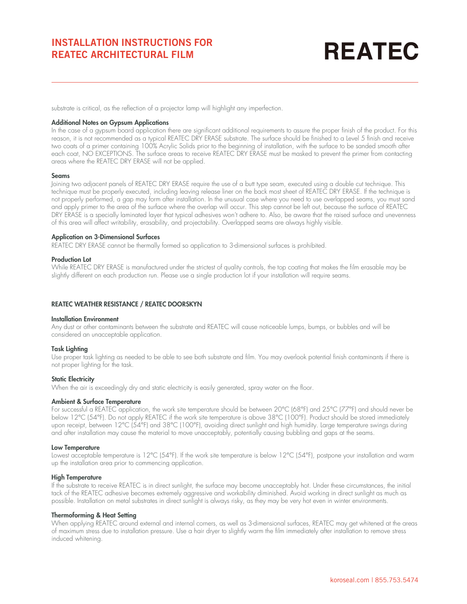# **REATEC**

substrate is critical, as the reflection of a projector lamp will highlight any imperfection.

### Additional Notes on Gypsum Applications

In the case of a gypsum board application there are significant additional requirements to assure the proper finish of the product. For this reason, it is not recommended as a typical REATEC DRY ERASE substrate. The surface should be finished to a Level 5 finish and receive two coats of a primer containing 100% Acrylic Solids prior to the beginning of installation, with the surface to be sanded smooth after each coat, NO EXCEPTIONS. The surface areas to receive REATEC DRY ERASE must be masked to prevent the primer from contacting areas where the REATEC DRY ERASE will not be applied.

#### Seams

Joining two adjacent panels of REATEC DRY ERASE require the use of a butt type seam, executed using a double cut technique. This technique must be properly executed, including leaving release liner on the back most sheet of REATEC DRY ERASE. If the technique is not properly performed, a gap may form after installation. In the unusual case where you need to use overlapped seams, you must sand and apply primer to the area of the surface where the overlap will occur. This step cannot be left out, because the surface of REATEC DRY ERASE is a specially laminated layer that typical adhesives won't adhere to. Also, be aware that the raised surface and unevenness of this area will affect writability, erasability, and projectability. Overlapped seams are always highly visible.

### Application on 3-Dimensional Surfaces

REATEC DRY ERASE cannot be thermally formed so application to 3-dimensional surfaces is prohibited.

### Production Lot

While REATEC DRY ERASE is manufactured under the strictest of quality controls, the top coating that makes the film erasable may be slightly different on each production run. Please use a single production lot if your installation will require seams.

### REATEC WEATHER RESISTANCE / REATEC DOORSKYN

#### Installation Environment

Any dust or other contaminants between the substrate and REATEC will cause noticeable lumps, bumps, or bubbles and will be considered an unacceptable application.

#### Task Lighting

Use proper task lighting as needed to be able to see both substrate and film. You may overlook potential finish contaminants if there is not proper lighting for the task.

## **Static Electricity**

When the air is exceedingly dry and static electricity is easily generated, spray water on the floor.

### Ambient & Surface Temperature

For successful a REATEC application, the work site temperature should be between 20°C (68°F) and 25°C (77°F) and should never be below 12°C (54°F). Do not apply REATEC if the work site temperature is above 38°C (100°F). Product should be stored immediately upon receipt, between 12°C (54°F) and 38°C (100°F), avoiding direct sunlight and high humidity. Large temperature swings during and after installation may cause the material to move unacceptably, potentially causing bubbling and gaps at the seams.

#### Low Temperature

Lowest acceptable temperature is 12°C (54°F). If the work site temperature is below 12°C (54°F), postpone your installation and warm up the installation area prior to commencing application.

### High Temperature

If the substrate to receive REATEC is in direct sunlight, the surface may become unacceptably hot. Under these circumstances, the initial tack of the REATEC adhesive becomes extremely aggressive and workability diminished. Avoid working in direct sunlight as much as possible. Installation on metal substrates in direct sunlight is always risky, as they may be very hot even in winter environments.

#### Thermoforming & Heat Setting

When applying REATEC around external and internal corners, as well as 3-dimensional surfaces, REATEC may get whitened at the areas of maximum stress due to installation pressure. Use a hair dryer to slightly warm the film immediately after installation to remove stress induced whitening.